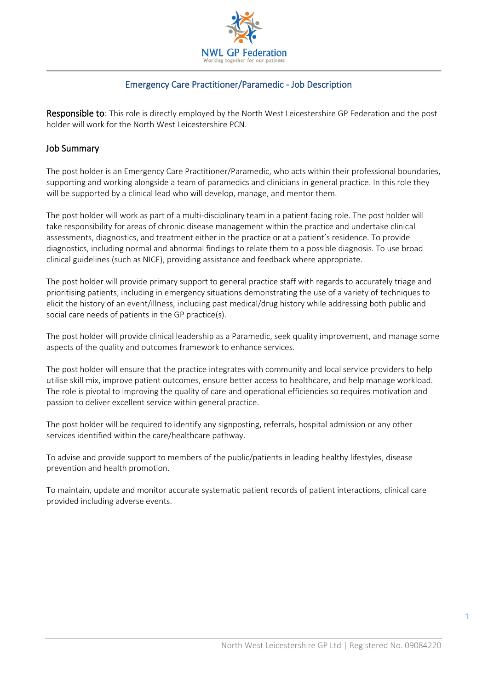

#### Emergency Care Practitioner/Paramedic - Job Description

Responsible to: This role is directly employed by the North West Leicestershire GP Federation and the post holder will work for the North West Leicestershire PCN.

#### Job Summary

The post holder is an Emergency Care Practitioner/Paramedic, who acts within their professional boundaries, supporting and working alongside a team of paramedics and clinicians in general practice. In this role they will be supported by a clinical lead who will develop, manage, and mentor them.

The post holder will work as part of a multi-disciplinary team in a patient facing role. The post holder will take responsibility for areas of chronic disease management within the practice and undertake clinical assessments, diagnostics, and treatment either in the practice or at a patient's residence. To provide diagnostics, including normal and abnormal findings to relate them to a possible diagnosis. To use broad clinical guidelines (such as NICE), providing assistance and feedback where appropriate.

The post holder will provide primary support to general practice staff with regards to accurately triage and prioritising patients, including in emergency situations demonstrating the use of a variety of techniques to elicit the history of an event/illness, including past medical/drug history while addressing both public and social care needs of patients in the GP practice(s).

The post holder will provide clinical leadership as a Paramedic, seek quality improvement, and manage some aspects of the quality and outcomes framework to enhance services.

The post holder will ensure that the practice integrates with community and local service providers to help utilise skill mix, improve patient outcomes, ensure better access to healthcare, and help manage workload. The role is pivotal to improving the quality of care and operational efficiencies so requires motivation and passion to deliver excellent service within general practice.

The post holder will be required to identify any signposting, referrals, hospital admission or any other services identified within the care/healthcare pathway.

To advise and provide support to members of the public/patients in leading healthy lifestyles, disease prevention and health promotion.

To maintain, update and monitor accurate systematic patient records of patient interactions, clinical care provided including adverse events.

1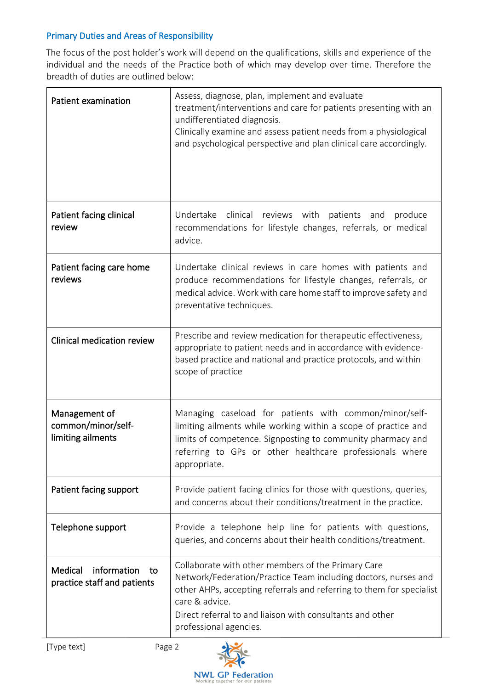## Primary Duties and Areas of Responsibility

The focus of the post holder's work will depend on the qualifications, skills and experience of the individual and the needs of the Practice both of which may develop over time. Therefore the breadth of duties are outlined below:

| <b>Patient examination</b>                                  | Assess, diagnose, plan, implement and evaluate<br>treatment/interventions and care for patients presenting with an<br>undifferentiated diagnosis.<br>Clinically examine and assess patient needs from a physiological<br>and psychological perspective and plan clinical care accordingly.            |
|-------------------------------------------------------------|-------------------------------------------------------------------------------------------------------------------------------------------------------------------------------------------------------------------------------------------------------------------------------------------------------|
| Patient facing clinical<br>review                           | Undertake clinical reviews with<br>patients<br>produce<br>and<br>recommendations for lifestyle changes, referrals, or medical<br>advice.                                                                                                                                                              |
| Patient facing care home<br>reviews                         | Undertake clinical reviews in care homes with patients and<br>produce recommendations for lifestyle changes, referrals, or<br>medical advice. Work with care home staff to improve safety and<br>preventative techniques.                                                                             |
| Clinical medication review                                  | Prescribe and review medication for therapeutic effectiveness,<br>appropriate to patient needs and in accordance with evidence-<br>based practice and national and practice protocols, and within<br>scope of practice                                                                                |
| Management of<br>common/minor/self-<br>limiting ailments    | Managing caseload for patients with common/minor/self-<br>limiting ailments while working within a scope of practice and<br>limits of competence. Signposting to community pharmacy and<br>referring to GPs or other healthcare professionals where<br>appropriate.                                   |
| Patient facing support                                      | Provide patient facing clinics for those with questions, queries,<br>and concerns about their conditions/treatment in the practice.                                                                                                                                                                   |
| Telephone support                                           | Provide a telephone help line for patients with questions,<br>queries, and concerns about their health conditions/treatment.                                                                                                                                                                          |
| information<br>Medical<br>to<br>practice staff and patients | Collaborate with other members of the Primary Care<br>Network/Federation/Practice Team including doctors, nurses and<br>other AHPs, accepting referrals and referring to them for specialist<br>care & advice.<br>Direct referral to and liaison with consultants and other<br>professional agencies. |

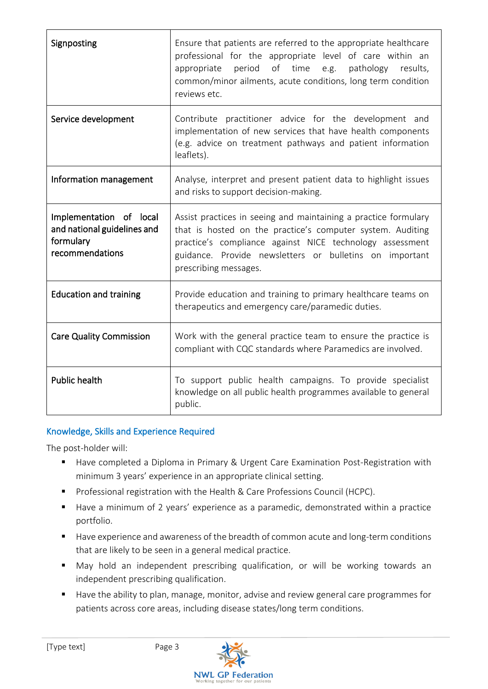| Signposting                                                                            | Ensure that patients are referred to the appropriate healthcare<br>professional for the appropriate level of care within an<br>period of time e.g.<br>appropriate<br>pathology<br>results,<br>common/minor ailments, acute conditions, long term condition<br>reviews etc.    |  |  |
|----------------------------------------------------------------------------------------|-------------------------------------------------------------------------------------------------------------------------------------------------------------------------------------------------------------------------------------------------------------------------------|--|--|
| Service development                                                                    | Contribute practitioner advice for the development and<br>implementation of new services that have health components<br>(e.g. advice on treatment pathways and patient information<br>leaflets).                                                                              |  |  |
| Information management                                                                 | Analyse, interpret and present patient data to highlight issues<br>and risks to support decision-making.                                                                                                                                                                      |  |  |
| Implementation of local<br>and national guidelines and<br>formulary<br>recommendations | Assist practices in seeing and maintaining a practice formulary<br>that is hosted on the practice's computer system. Auditing<br>practice's compliance against NICE technology assessment<br>guidance. Provide newsletters or bulletins on important<br>prescribing messages. |  |  |
| <b>Education and training</b>                                                          | Provide education and training to primary healthcare teams on<br>therapeutics and emergency care/paramedic duties.                                                                                                                                                            |  |  |
| <b>Care Quality Commission</b>                                                         | Work with the general practice team to ensure the practice is<br>compliant with CQC standards where Paramedics are involved.                                                                                                                                                  |  |  |
| <b>Public health</b>                                                                   | To support public health campaigns. To provide specialist<br>knowledge on all public health programmes available to general<br>public.                                                                                                                                        |  |  |

# Knowledge, Skills and Experience Required

The post-holder will:

- Have completed a Diploma in Primary & Urgent Care Examination Post-Registration with minimum 3 years' experience in an appropriate clinical setting.
- Professional registration with the Health & Care Professions Council (HCPC).
- Have a minimum of 2 years' experience as a paramedic, demonstrated within a practice portfolio.
- Have experience and awareness of the breadth of common acute and long-term conditions that are likely to be seen in a general medical practice.
- May hold an independent prescribing qualification, or will be working towards an independent prescribing qualification.
- Have the ability to plan, manage, monitor, advise and review general care programmes for patients across core areas, including disease states/long term conditions.

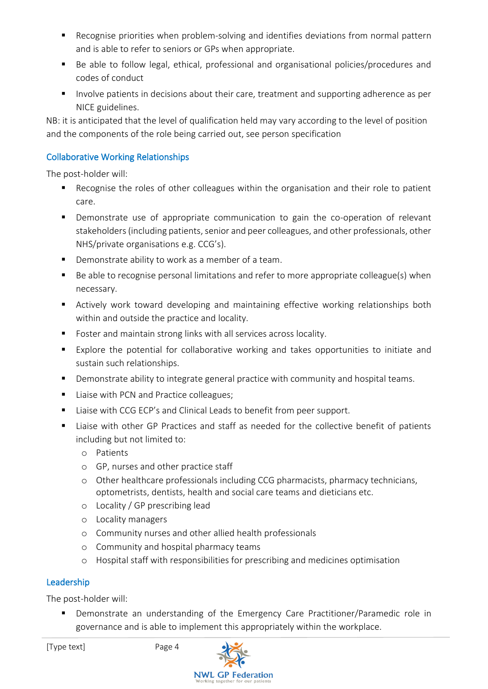- Recognise priorities when problem-solving and identifies deviations from normal pattern and is able to refer to seniors or GPs when appropriate.
- Be able to follow legal, ethical, professional and organisational policies/procedures and codes of conduct
- Involve patients in decisions about their care, treatment and supporting adherence as per NICE guidelines.

NB: it is anticipated that the level of qualification held may vary according to the level of position and the components of the role being carried out, see person specification

## Collaborative Working Relationships

The post-holder will:

- Recognise the roles of other colleagues within the organisation and their role to patient care.
- Demonstrate use of appropriate communication to gain the co-operation of relevant stakeholders (including patients, senior and peer colleagues, and other professionals, other NHS/private organisations e.g. CCG's).
- Demonstrate ability to work as a member of a team.
- Be able to recognise personal limitations and refer to more appropriate colleague(s) when necessary.
- Actively work toward developing and maintaining effective working relationships both within and outside the practice and locality.
- Foster and maintain strong links with all services across locality.
- Explore the potential for collaborative working and takes opportunities to initiate and sustain such relationships.
- Demonstrate ability to integrate general practice with community and hospital teams.
- Liaise with PCN and Practice colleagues;
- Liaise with CCG ECP's and Clinical Leads to benefit from peer support.
- Liaise with other GP Practices and staff as needed for the collective benefit of patients including but not limited to:
	- o Patients
	- o GP, nurses and other practice staff
	- o Other healthcare professionals including CCG pharmacists, pharmacy technicians, optometrists, dentists, health and social care teams and dieticians etc.
	- o Locality / GP prescribing lead
	- o Locality managers
	- o Community nurses and other allied health professionals
	- o Community and hospital pharmacy teams
	- o Hospital staff with responsibilities for prescribing and medicines optimisation

# Leadership

The post-holder will:

■ Demonstrate an understanding of the Emergency Care Practitioner/Paramedic role in governance and is able to implement this appropriately within the workplace.

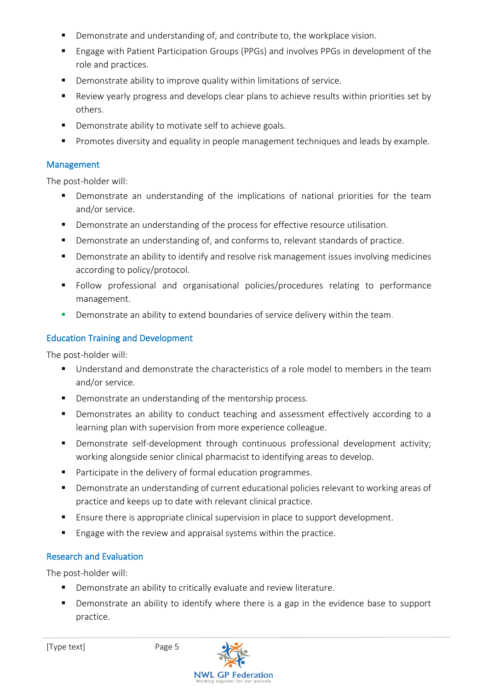- Demonstrate and understanding of, and contribute to, the workplace vision.
- Engage with Patient Participation Groups (PPGs) and involves PPGs in development of the role and practices.
- Demonstrate ability to improve quality within limitations of service.
- Review yearly progress and develops clear plans to achieve results within priorities set by others.
- Demonstrate ability to motivate self to achieve goals.
- **•** Promotes diversity and equality in people management techniques and leads by example.

#### Management

The post-holder will:

- Demonstrate an understanding of the implications of national priorities for the team and/or service.
- Demonstrate an understanding of the process for effective resource utilisation.
- Demonstrate an understanding of, and conforms to, relevant standards of practice.
- Demonstrate an ability to identify and resolve risk management issues involving medicines according to policy/protocol.
- Follow professional and organisational policies/procedures relating to performance management.
- **•** Demonstrate an ability to extend boundaries of service delivery within the team.

#### Education Training and Development

The post-holder will:

- Understand and demonstrate the characteristics of a role model to members in the team and/or service.
- Demonstrate an understanding of the mentorship process.
- Demonstrates an ability to conduct teaching and assessment effectively according to a learning plan with supervision from more experience colleague.
- Demonstrate self-development through continuous professional development activity; working alongside senior clinical pharmacist to identifying areas to develop.
- Participate in the delivery of formal education programmes.
- Demonstrate an understanding of current educational policies relevant to working areas of practice and keeps up to date with relevant clinical practice.
- Ensure there is appropriate clinical supervision in place to support development.
- Engage with the review and appraisal systems within the practice.

### Research and Evaluation

The post-holder will:

- Demonstrate an ability to critically evaluate and review literature.
- Demonstrate an ability to identify where there is a gap in the evidence base to support practice.

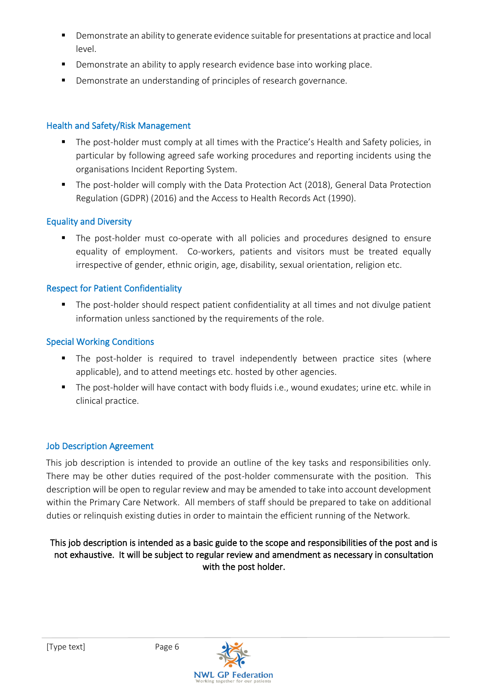- Demonstrate an ability to generate evidence suitable for presentations at practice and local level.
- Demonstrate an ability to apply research evidence base into working place.
- Demonstrate an understanding of principles of research governance.

## Health and Safety/Risk Management

- The post-holder must comply at all times with the Practice's Health and Safety policies, in particular by following agreed safe working procedures and reporting incidents using the organisations Incident Reporting System.
- The post-holder will comply with the Data Protection Act (2018), General Data Protection Regulation (GDPR) (2016) and the Access to Health Records Act (1990).

## Equality and Diversity

■ The post-holder must co-operate with all policies and procedures designed to ensure equality of employment. Co-workers, patients and visitors must be treated equally irrespective of gender, ethnic origin, age, disability, sexual orientation, religion etc.

## Respect for Patient Confidentiality

■ The post-holder should respect patient confidentiality at all times and not divulge patient information unless sanctioned by the requirements of the role.

## Special Working Conditions

- The post-holder is required to travel independently between practice sites (where applicable), and to attend meetings etc. hosted by other agencies.
- The post-holder will have contact with body fluids i.e., wound exudates; urine etc. while in clinical practice.

### Job Description Agreement

This job description is intended to provide an outline of the key tasks and responsibilities only. There may be other duties required of the post-holder commensurate with the position. This description will be open to regular review and may be amended to take into account development within the Primary Care Network. All members of staff should be prepared to take on additional duties or relinquish existing duties in order to maintain the efficient running of the Network.

### This job description is intended as a basic guide to the scope and responsibilities of the post and is not exhaustive. It will be subject to regular review and amendment as necessary in consultation with the post holder.

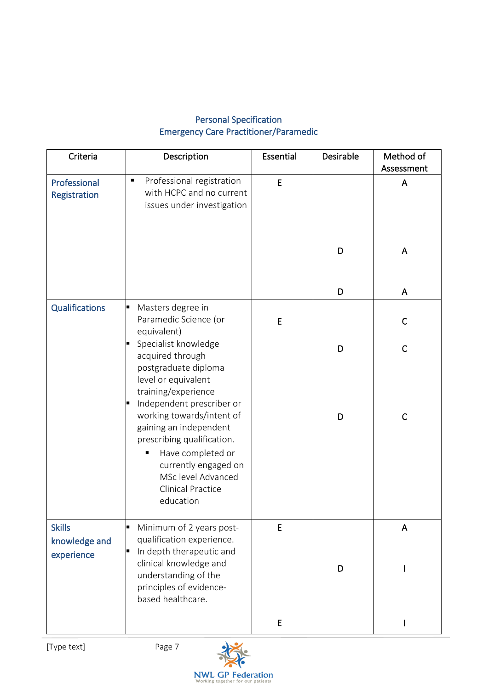# Personal Specification Emergency Care Practitioner/Paramedic

| Criteria                       | Description                                                                                                                                                                                   | Essential | Desirable | Method of<br>Assessment |
|--------------------------------|-----------------------------------------------------------------------------------------------------------------------------------------------------------------------------------------------|-----------|-----------|-------------------------|
| Professional<br>Registration   | Professional registration<br>Ξ<br>with HCPC and no current<br>issues under investigation                                                                                                      | E         |           | A                       |
|                                |                                                                                                                                                                                               |           | D         | A                       |
|                                |                                                                                                                                                                                               |           | D         | A                       |
| <b>Qualifications</b>          | Masters degree in<br>E<br>Paramedic Science (or<br>equivalent)                                                                                                                                | E         |           | C                       |
|                                | Specialist knowledge<br>acquired through<br>postgraduate diploma<br>level or equivalent<br>training/experience<br>Independent prescriber or                                                   |           | D         | $\mathsf{C}$            |
|                                | working towards/intent of<br>gaining an independent<br>prescribing qualification.<br>Have completed or<br>currently engaged on<br>MSc level Advanced<br><b>Clinical Practice</b><br>education |           | D         | $\mathsf{C}$            |
| <b>Skills</b><br>knowledge and | Minimum of 2 years post-<br>E<br>qualification experience.                                                                                                                                    | E         |           | A                       |
| experience                     | In depth therapeutic and<br>clinical knowledge and<br>understanding of the<br>principles of evidence-<br>based healthcare.                                                                    |           | D         |                         |
|                                |                                                                                                                                                                                               | E         |           | I                       |

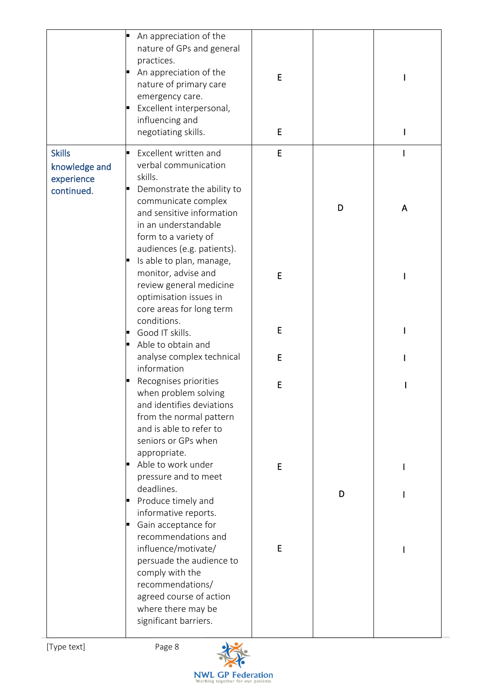|                                                            | An appreciation of the<br>nature of GPs and general<br>practices.<br>An appreciation of the<br>nature of primary care<br>emergency care.<br>Excellent interpersonal,<br>E<br>influencing and<br>negotiating skills. | E<br>E |   |   |
|------------------------------------------------------------|---------------------------------------------------------------------------------------------------------------------------------------------------------------------------------------------------------------------|--------|---|---|
| <b>Skills</b><br>knowledge and<br>experience<br>continued. | Excellent written and<br>verbal communication<br>skills.<br>Demonstrate the ability to                                                                                                                              | E      |   |   |
|                                                            | communicate complex<br>and sensitive information<br>in an understandable<br>form to a variety of<br>audiences (e.g. patients).<br>Is able to plan, manage,                                                          |        | D | A |
|                                                            | monitor, advise and<br>review general medicine<br>optimisation issues in<br>core areas for long term                                                                                                                | E      |   |   |
|                                                            | conditions.<br>Good IT skills.                                                                                                                                                                                      | E      |   |   |
|                                                            | Able to obtain and<br>analyse complex technical<br>information                                                                                                                                                      | E      |   |   |
|                                                            | Recognises priorities<br>when problem solving<br>and identifies deviations<br>from the normal pattern<br>and is able to refer to<br>seniors or GPs when                                                             | E      |   |   |
|                                                            | appropriate.<br>Able to work under<br>pressure and to meet<br>deadlines.                                                                                                                                            | E      | D |   |
|                                                            | Produce timely and<br>E<br>informative reports.<br>Gain acceptance for<br>recommendations and                                                                                                                       |        |   |   |
|                                                            | influence/motivate/<br>persuade the audience to<br>comply with the<br>recommendations/<br>agreed course of action<br>where there may be<br>significant barriers.                                                    | E      |   |   |